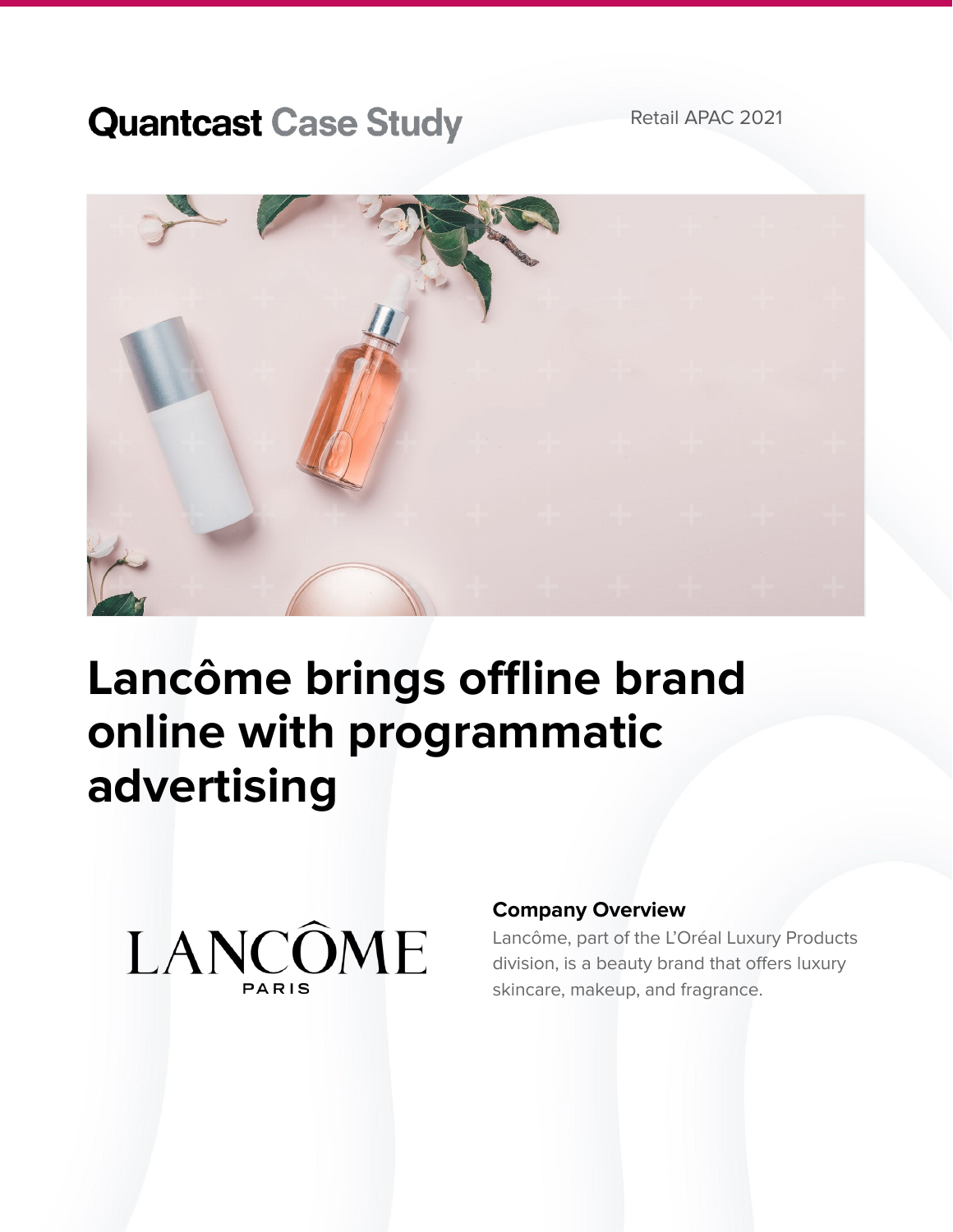## **Quantcast Case Study**

Retail APAC 2021



# **Lancôme brings offline brand online with programmatic advertising**



### **Company Overview**

Lancôme, part of the L'Oréal Luxury Products division, is a beauty brand that offers luxury skincare, makeup, and fragrance.